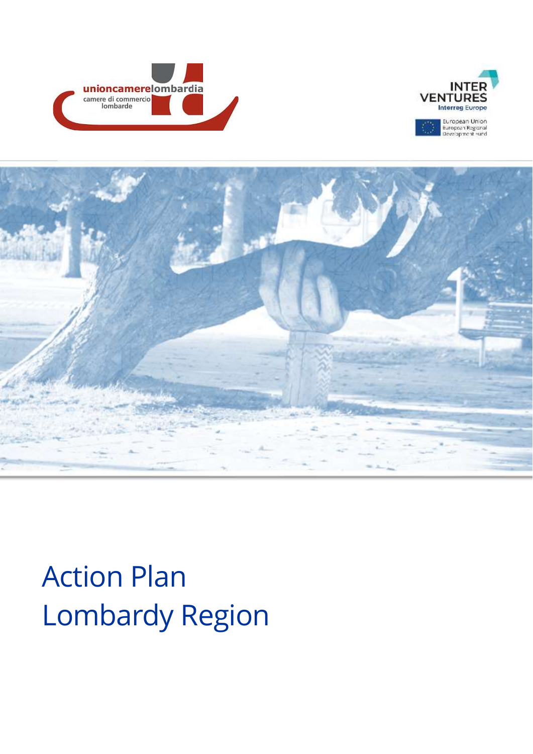





# Action Plan Lombardy Region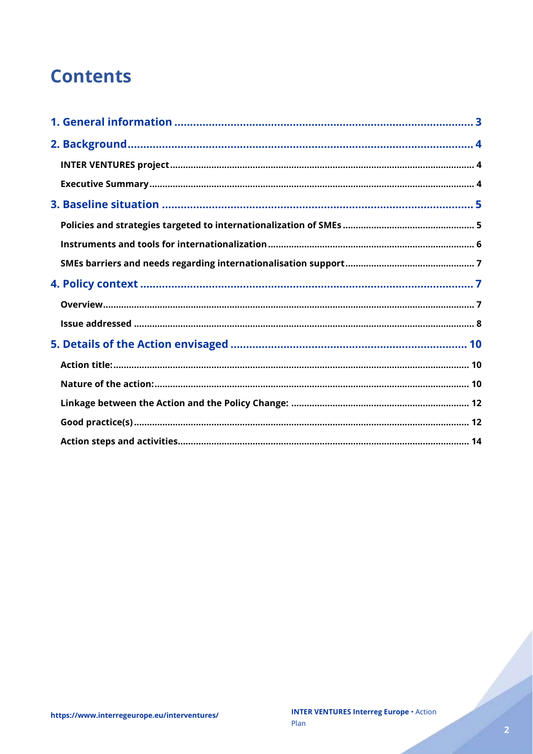# **Contents**

Charles Corporation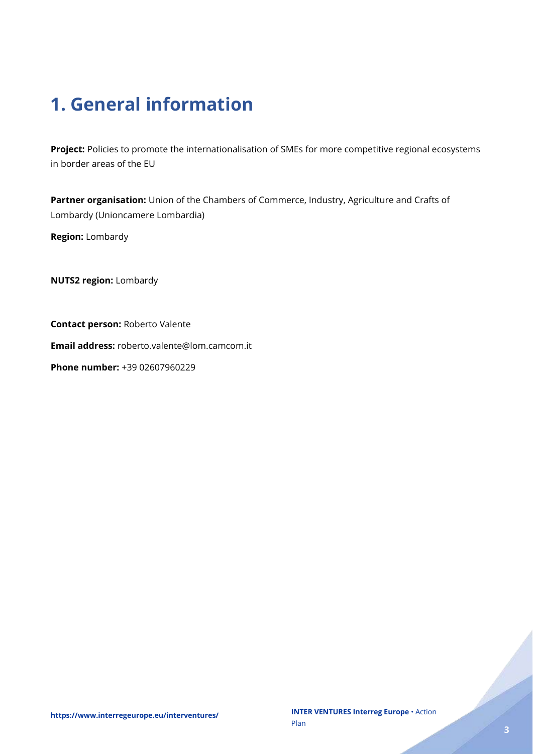# <span id="page-2-0"></span>**1. General information**

**Project:** Policies to promote the internationalisation of SMEs for more competitive regional ecosystems in border areas of the EU

Partner organisation: Union of the Chambers of Commerce, Industry, Agriculture and Crafts of Lombardy (Unioncamere Lombardia)

**Region:** Lombardy

**NUTS2 region:** Lombardy

**Contact person:** Roberto Valente

**Email address:** roberto.valente@lom.camcom.it

**Phone number:** +39 02607960229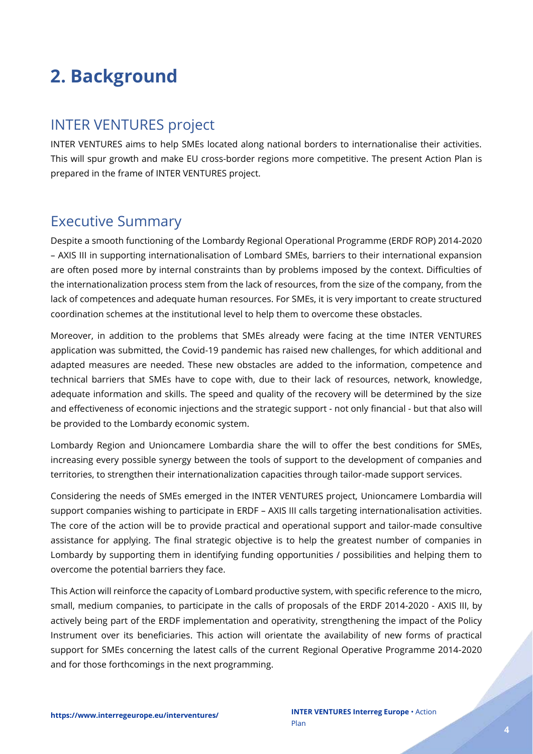# <span id="page-3-0"></span>**2. Background**

### <span id="page-3-1"></span>INTER VENTURES project

INTER VENTURES aims to help SMEs located along national borders to internationalise their activities. This will spur growth and make EU cross-border regions more competitive. The present Action Plan is prepared in the frame of INTER VENTURES project.

### <span id="page-3-2"></span>Executive Summary

Despite a smooth functioning of the Lombardy Regional Operational Programme (ERDF ROP) 2014-2020 – AXIS III in supporting internationalisation of Lombard SMEs, barriers to their international expansion are often posed more by internal constraints than by problems imposed by the context. Difficulties of the internationalization process stem from the lack of resources, from the size of the company, from the lack of competences and adequate human resources. For SMEs, it is very important to create structured coordination schemes at the institutional level to help them to overcome these obstacles.

Moreover, in addition to the problems that SMEs already were facing at the time INTER VENTURES application was submitted, the Covid-19 pandemic has raised new challenges, for which additional and adapted measures are needed. These new obstacles are added to the information, competence and technical barriers that SMEs have to cope with, due to their lack of resources, network, knowledge, adequate information and skills. The speed and quality of the recovery will be determined by the size and effectiveness of economic injections and the strategic support - not only financial - but that also will be provided to the Lombardy economic system.

Lombardy Region and Unioncamere Lombardia share the will to offer the best conditions for SMEs, increasing every possible synergy between the tools of support to the development of companies and territories, to strengthen their internationalization capacities through tailor-made support services.

Considering the needs of SMEs emerged in the INTER VENTURES project, Unioncamere Lombardia will support companies wishing to participate in ERDF – AXIS III calls targeting internationalisation activities. The core of the action will be to provide practical and operational support and tailor-made consultive assistance for applying. The final strategic objective is to help the greatest number of companies in Lombardy by supporting them in identifying funding opportunities / possibilities and helping them to overcome the potential barriers they face.

This Action will reinforce the capacity of Lombard productive system, with specific reference to the micro, small, medium companies, to participate in the calls of proposals of the ERDF 2014-2020 - AXIS III, by actively being part of the ERDF implementation and operativity, strengthening the impact of the Policy Instrument over its beneficiaries. This action will orientate the availability of new forms of practical support for SMEs concerning the latest calls of the current Regional Operative Programme 2014-2020 and for those forthcomings in the next programming.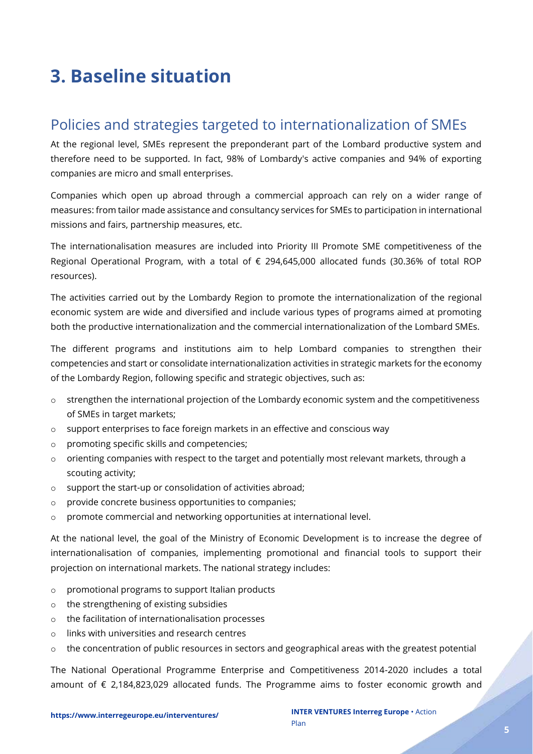# <span id="page-4-0"></span>**3. Baseline situation**

# <span id="page-4-1"></span>Policies and strategies targeted to internationalization of SMEs

At the regional level, SMEs represent the preponderant part of the Lombard productive system and therefore need to be supported. In fact, 98% of Lombardy's active companies and 94% of exporting companies are micro and small enterprises.

Companies which open up abroad through a commercial approach can rely on a wider range of measures: from tailor made assistance and consultancy services for SMEs to participation in international missions and fairs, partnership measures, etc.

The internationalisation measures are included into Priority III Promote SME competitiveness of the Regional Operational Program, with a total of € 294,645,000 allocated funds (30.36% of total ROP resources).

The activities carried out by the Lombardy Region to promote the internationalization of the regional economic system are wide and diversified and include various types of programs aimed at promoting both the productive internationalization and the commercial internationalization of the Lombard SMEs.

The different programs and institutions aim to help Lombard companies to strengthen their competencies and start or consolidate internationalization activities in strategic markets for the economy of the Lombardy Region, following specific and strategic objectives, such as:

- $\circ$  strengthen the international projection of the Lombardy economic system and the competitiveness of SMEs in target markets;
- $\circ$  support enterprises to face foreign markets in an effective and conscious way
- o promoting specific skills and competencies;
- o orienting companies with respect to the target and potentially most relevant markets, through a scouting activity;
- o support the start-up or consolidation of activities abroad;
- o provide concrete business opportunities to companies;
- o promote commercial and networking opportunities at international level.

At the national level, the goal of the Ministry of Economic Development is to increase the degree of internationalisation of companies, implementing promotional and financial tools to support their projection on international markets. The national strategy includes:

- o promotional programs to support Italian products
- o the strengthening of existing subsidies
- o the facilitation of internationalisation processes
- o links with universities and research centres
- o the concentration of public resources in sectors and geographical areas with the greatest potential

The National Operational Programme Enterprise and Competitiveness 2014-2020 includes a total amount of € 2,184,823,029 allocated funds. The Programme aims to foster economic growth and

.<br>L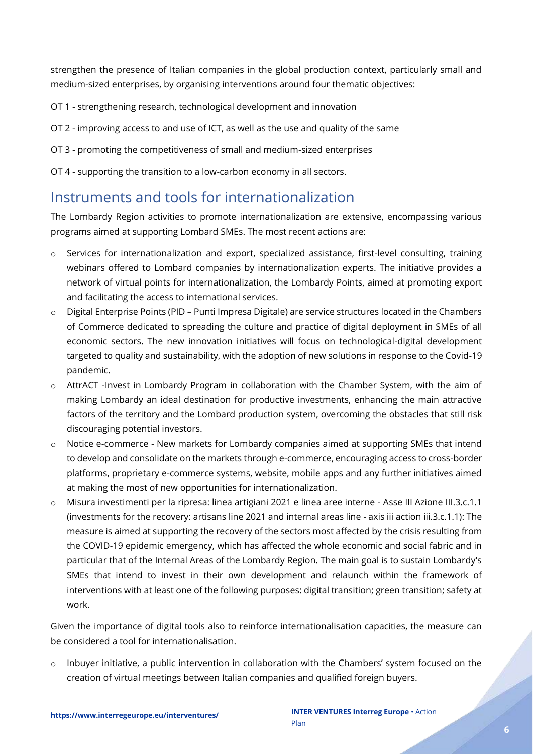strengthen the presence of Italian companies in the global production context, particularly small and medium-sized enterprises, by organising interventions around four thematic objectives:

- OT 1 strengthening research, technological development and innovation
- OT 2 improving access to and use of ICT, as well as the use and quality of the same
- OT 3 promoting the competitiveness of small and medium-sized enterprises
- OT 4 supporting the transition to a low-carbon economy in all sectors.

# <span id="page-5-0"></span>Instruments and tools for internationalization

The Lombardy Region activities to promote internationalization are extensive, encompassing various programs aimed at supporting Lombard SMEs. The most recent actions are:

- o Services for internationalization and export, specialized assistance, first-level consulting, training webinars offered to Lombard companies by internationalization experts. The initiative provides a network of virtual points for internationalization, the Lombardy Points, aimed at promoting export and facilitating the access to international services.
- o Digital Enterprise Points (PID Punti Impresa Digitale) are service structures located in the Chambers of Commerce dedicated to spreading the culture and practice of digital deployment in SMEs of all economic sectors. The new innovation initiatives will focus on technological-digital development targeted to quality and sustainability, with the adoption of new solutions in response to the Covid-19 pandemic.
- o AttrACT -Invest in Lombardy Program in collaboration with the Chamber System, with the aim of making Lombardy an ideal destination for productive investments, enhancing the main attractive factors of the territory and the Lombard production system, overcoming the obstacles that still risk discouraging potential investors.
- o Notice e-commerce New markets for Lombardy companies aimed at supporting SMEs that intend to develop and consolidate on the markets through e-commerce, encouraging access to cross-border platforms, proprietary e-commerce systems, website, mobile apps and any further initiatives aimed at making the most of new opportunities for internationalization.
- o Misura investimenti per la ripresa: linea artigiani 2021 e linea aree interne Asse III Azione III.3.c.1.1 (investments for the recovery: artisans line 2021 and internal areas line - axis iii action iii.3.c.1.1): The measure is aimed at supporting the recovery of the sectors most affected by the crisis resulting from the COVID-19 epidemic emergency, which has affected the whole economic and social fabric and in particular that of the Internal Areas of the Lombardy Region. The main goal is to sustain Lombardy's SMEs that intend to invest in their own development and relaunch within the framework of interventions with at least one of the following purposes: digital transition; green transition; safety at work.

Given the importance of digital tools also to reinforce internationalisation capacities, the measure can be considered a tool for internationalisation.

 $\circ$  Inbuyer initiative, a public intervention in collaboration with the Chambers' system focused on the creation of virtual meetings between Italian companies and qualified foreign buyers.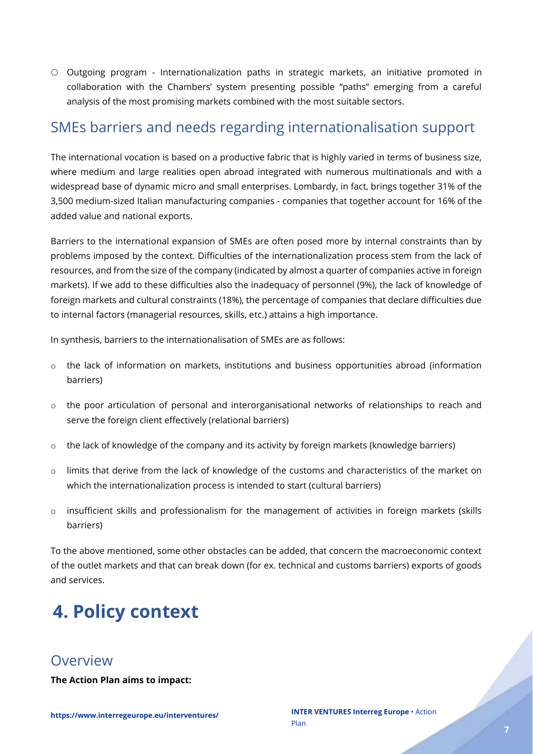o Outgoing program - Internationalization paths in strategic markets, an initiative promoted in collaboration with the Chambers' system presenting possible "paths" emerging from a careful analysis of the most promising markets combined with the most suitable sectors.

### <span id="page-6-0"></span>SMEs barriers and needs regarding internationalisation support

<span id="page-6-1"></span>The international vocation is based on a productive fabric that is highly varied in terms of business size, where medium and large realities open abroad integrated with numerous multinationals and with a widespread base of dynamic micro and small enterprises. Lombardy, in fact, brings together 31% of the 3,500 medium-sized Italian manufacturing companies - companies that together account for 16% of the added value and national exports.

Barriers to the international expansion of SMEs are often posed more by internal constraints than by problems imposed by the context. Difficulties of the internationalization process stem from the lack of resources, and from the size of the company (indicated by almost a quarter of companies active in foreign markets). If we add to these difficulties also the inadequacy of personnel (9%), the lack of knowledge of foreign markets and cultural constraints (18%), the percentage of companies that declare difficulties due to internal factors (managerial resources, skills, etc.) attains a high importance.

In synthesis, barriers to the internationalisation of SMEs are as follows:

- o the lack of information on markets, institutions and business opportunities abroad (information barriers)
- o the poor articulation of personal and interorganisational networks of relationships to reach and serve the foreign client effectively (relational barriers)
- o the lack of knowledge of the company and its activity by foreign markets (knowledge barriers)
- o limits that derive from the lack of knowledge of the customs and characteristics of the market on which the internationalization process is intended to start (cultural barriers)
- o insufficient skills and professionalism for the management of activities in foreign markets (skills barriers)

To the above mentioned, some other obstacles can be added, that concern the macroeconomic context of the outlet markets and that can break down (for ex. technical and customs barriers) exports of goods and services.

# **4. Policy context**

### <span id="page-6-2"></span>Overview

**The Action Plan aims to impact:**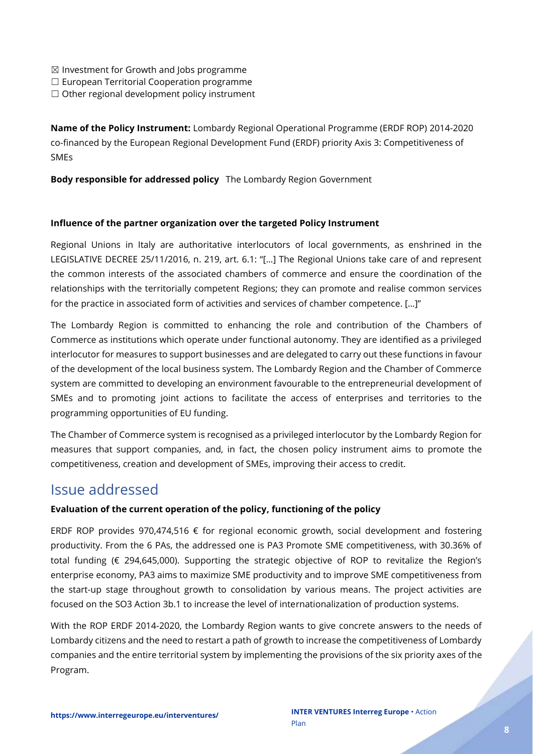- $\boxtimes$  Investment for Growth and Jobs programme
- ☐ European Territorial Cooperation programme
- $\Box$  Other regional development policy instrument

**Name of the Policy Instrument:** Lombardy Regional Operational Programme (ERDF ROP) 2014-2020 co-financed by the European Regional Development Fund (ERDF) priority Axis 3: Competitiveness of SMEs

#### **Body responsible for addressed policy** The Lombardy Region Government

#### **Influence of the partner organization over the targeted Policy Instrument**

Regional Unions in Italy are authoritative interlocutors of local governments, as enshrined in the LEGISLATIVE DECREE 25/11/2016, n. 219, art. 6.1: "[…] The Regional Unions take care of and represent the common interests of the associated chambers of commerce and ensure the coordination of the relationships with the territorially competent Regions; they can promote and realise common services for the practice in associated form of activities and services of chamber competence. […]"

The Lombardy Region is committed to enhancing the role and contribution of the Chambers of Commerce as institutions which operate under functional autonomy. They are identified as a privileged interlocutor for measures to support businesses and are delegated to carry out these functions in favour of the development of the local business system. The Lombardy Region and the Chamber of Commerce system are committed to developing an environment favourable to the entrepreneurial development of SMEs and to promoting joint actions to facilitate the access of enterprises and territories to the programming opportunities of EU funding.

The Chamber of Commerce system is recognised as a privileged interlocutor by the Lombardy Region for measures that support companies, and, in fact, the chosen policy instrument aims to promote the competitiveness, creation and development of SMEs, improving their access to credit.

### <span id="page-7-0"></span>Issue addressed

#### **Evaluation of the current operation of the policy, functioning of the policy**

ERDF ROP provides 970,474,516  $\epsilon$  for regional economic growth, social development and fostering productivity. From the 6 PAs, the addressed one is PA3 Promote SME competitiveness, with 30.36% of total funding (€ 294,645,000). Supporting the strategic objective of ROP to revitalize the Region's enterprise economy, PA3 aims to maximize SME productivity and to improve SME competitiveness from the start-up stage throughout growth to consolidation by various means. The project activities are focused on the SO3 Action 3b.1 to increase the level of internationalization of production systems.

With the ROP ERDF 2014-2020, the Lombardy Region wants to give concrete answers to the needs of Lombardy citizens and the need to restart a path of growth to increase the competitiveness of Lombardy companies and the entire territorial system by implementing the provisions of the six priority axes of the Program.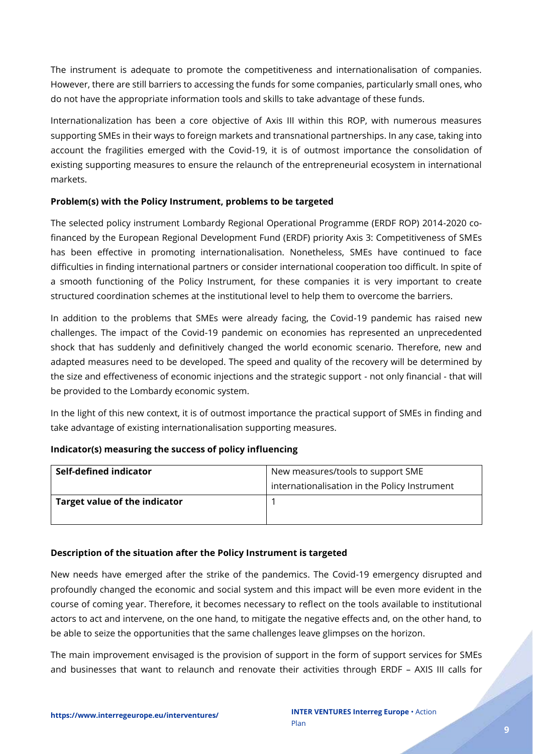The instrument is adequate to promote the competitiveness and internationalisation of companies. However, there are still barriers to accessing the funds for some companies, particularly small ones, who do not have the appropriate information tools and skills to take advantage of these funds.

Internationalization has been a core objective of Axis III within this ROP, with numerous measures supporting SMEs in their ways to foreign markets and transnational partnerships. In any case, taking into account the fragilities emerged with the Covid-19, it is of outmost importance the consolidation of existing supporting measures to ensure the relaunch of the entrepreneurial ecosystem in international markets.

#### **Problem(s) with the Policy Instrument, problems to be targeted**

The selected policy instrument Lombardy Regional Operational Programme (ERDF ROP) 2014-2020 cofinanced by the European Regional Development Fund (ERDF) priority Axis 3: Competitiveness of SMEs has been effective in promoting internationalisation. Nonetheless, SMEs have continued to face difficulties in finding international partners or consider international cooperation too difficult. In spite of a smooth functioning of the Policy Instrument, for these companies it is very important to create structured coordination schemes at the institutional level to help them to overcome the barriers.

In addition to the problems that SMEs were already facing, the Covid-19 pandemic has raised new challenges. The impact of the Covid-19 pandemic on economies has represented an unprecedented shock that has suddenly and definitively changed the world economic scenario. Therefore, new and adapted measures need to be developed. The speed and quality of the recovery will be determined by the size and effectiveness of economic injections and the strategic support - not only financial - that will be provided to the Lombardy economic system.

In the light of this new context, it is of outmost importance the practical support of SMEs in finding and take advantage of existing internationalisation supporting measures.

#### **Indicator(s) measuring the success of policy influencing**

| Self-defined indicator        | New measures/tools to support SME             |  |  |
|-------------------------------|-----------------------------------------------|--|--|
|                               | internationalisation in the Policy Instrument |  |  |
| Target value of the indicator |                                               |  |  |
|                               |                                               |  |  |

#### **Description of the situation after the Policy Instrument is targeted**

New needs have emerged after the strike of the pandemics. The Covid-19 emergency disrupted and profoundly changed the economic and social system and this impact will be even more evident in the course of coming year. Therefore, it becomes necessary to reflect on the tools available to institutional actors to act and intervene, on the one hand, to mitigate the negative effects and, on the other hand, to be able to seize the opportunities that the same challenges leave glimpses on the horizon.

The main improvement envisaged is the provision of support in the form of support services for SMEs and businesses that want to relaunch and renovate their activities through ERDF – AXIS III calls for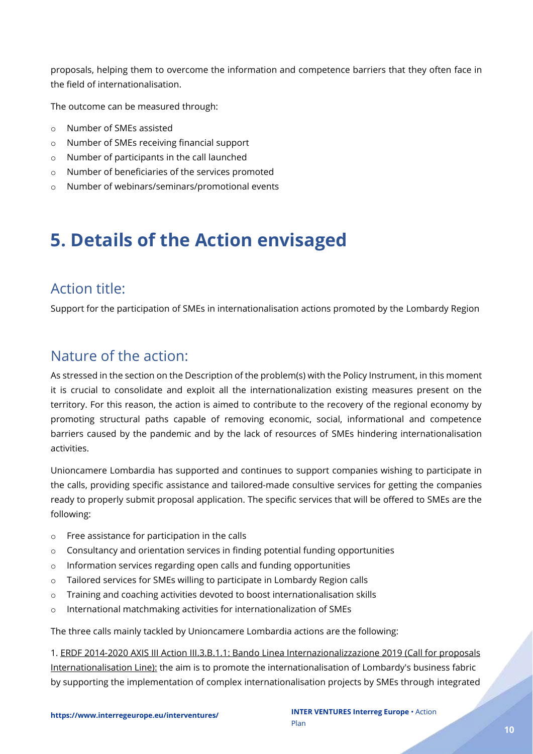proposals, helping them to overcome the information and competence barriers that they often face in the field of internationalisation.

The outcome can be measured through:

- o Number of SMEs assisted
- o Number of SMEs receiving financial support
- o Number of participants in the call launched
- o Number of beneficiaries of the services promoted
- o Number of webinars/seminars/promotional events

# <span id="page-9-0"></span>**5. Details of the Action envisaged**

### <span id="page-9-1"></span>Action title:

Support for the participation of SMEs in internationalisation actions promoted by the Lombardy Region

### <span id="page-9-2"></span>Nature of the action:

As stressed in the section on the Description of the problem(s) with the Policy Instrument, in this moment it is crucial to consolidate and exploit all the internationalization existing measures present on the territory. For this reason, the action is aimed to contribute to the recovery of the regional economy by promoting structural paths capable of removing economic, social, informational and competence barriers caused by the pandemic and by the lack of resources of SMEs hindering internationalisation activities.

Unioncamere Lombardia has supported and continues to support companies wishing to participate in the calls, providing specific assistance and tailored-made consultive services for getting the companies ready to properly submit proposal application. The specific services that will be offered to SMEs are the following:

- o Free assistance for participation in the calls
- $\circ$  Consultancy and orientation services in finding potential funding opportunities
- o Information services regarding open calls and funding opportunities
- o Tailored services for SMEs willing to participate in Lombardy Region calls
- o Training and coaching activities devoted to boost internationalisation skills
- o International matchmaking activities for internationalization of SMEs

The three calls mainly tackled by Unioncamere Lombardia actions are the following:

1. ERDF 2014-2020 AXIS III Action III.3.B.1.1: Bando Linea Internazionalizzazione 2019 (Call for proposals Internationalisation Line): the aim is to promote the internationalisation of Lombardy's business fabric by supporting the implementation of complex internationalisation projects by SMEs through integrated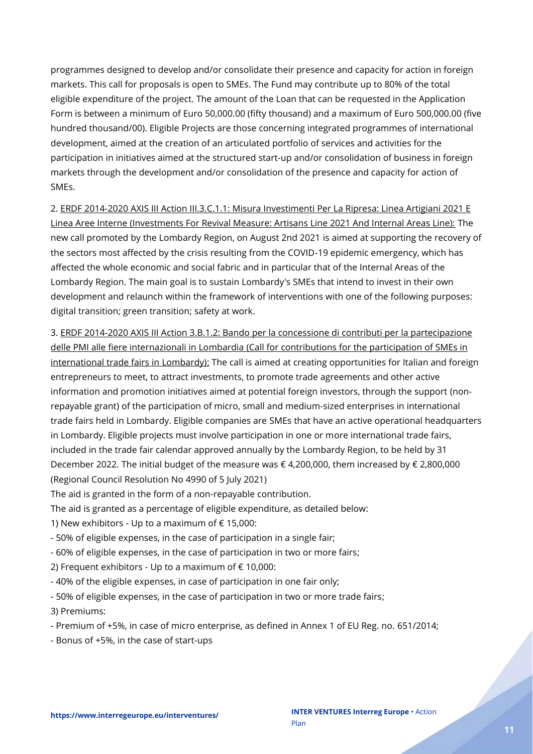programmes designed to develop and/or consolidate their presence and capacity for action in foreign markets. This call for proposals is open to SMEs. The Fund may contribute up to 80% of the total eligible expenditure of the project. The amount of the Loan that can be requested in the Application Form is between a minimum of Euro 50,000.00 (fifty thousand) and a maximum of Euro 500,000.00 (five hundred thousand/00). Eligible Projects are those concerning integrated programmes of international development, aimed at the creation of an articulated portfolio of services and activities for the participation in initiatives aimed at the structured start-up and/or consolidation of business in foreign markets through the development and/or consolidation of the presence and capacity for action of SMEs.

2. ERDF 2014-2020 AXIS III Action III.3.C.1.1: Misura Investimenti Per La Ripresa: Linea Artigiani 2021 E Linea Aree Interne (Investments For Revival Measure: Artisans Line 2021 And Internal Areas Line): The new call promoted by the Lombardy Region, on August 2nd 2021 is aimed at supporting the recovery of the sectors most affected by the crisis resulting from the COVID-19 epidemic emergency, which has affected the whole economic and social fabric and in particular that of the Internal Areas of the Lombardy Region. The main goal is to sustain Lombardy's SMEs that intend to invest in their own development and relaunch within the framework of interventions with one of the following purposes: digital transition; green transition; safety at work.

3. ERDF 2014-2020 AXIS III Action 3.B.1.2: Bando per la concessione di contributi per la partecipazione delle PMI alle fiere internazionali in Lombardia (Call for contributions for the participation of SMEs in international trade fairs in Lombardy): The call is aimed at creating opportunities for Italian and foreign entrepreneurs to meet, to attract investments, to promote trade agreements and other active information and promotion initiatives aimed at potential foreign investors, through the support (nonrepayable grant) of the participation of micro, small and medium-sized enterprises in international trade fairs held in Lombardy. Eligible companies are SMEs that have an active operational headquarters in Lombardy. Eligible projects must involve participation in one or more international trade fairs, included in the trade fair calendar approved annually by the Lombardy Region, to be held by 31 December 2022. The initial budget of the measure was € 4,200,000, them increased by € 2,800,000 (Regional Council Resolution No 4990 of 5 July 2021)

The aid is granted in the form of a non-repayable contribution.

The aid is granted as a percentage of eligible expenditure, as detailed below:

1) New exhibitors - Up to a maximum of  $\epsilon$  15,000:

- 50% of eligible expenses, in the case of participation in a single fair;

- 60% of eligible expenses, in the case of participation in two or more fairs;

2) Frequent exhibitors - Up to a maximum of  $\epsilon$  10,000:

- 40% of the eligible expenses, in case of participation in one fair only;

- 50% of eligible expenses, in the case of participation in two or more trade fairs;

3) Premiums:

- Premium of +5%, in case of micro enterprise, as defined in Annex 1 of EU Reg. no. 651/2014;

- Bonus of +5%, in the case of start-ups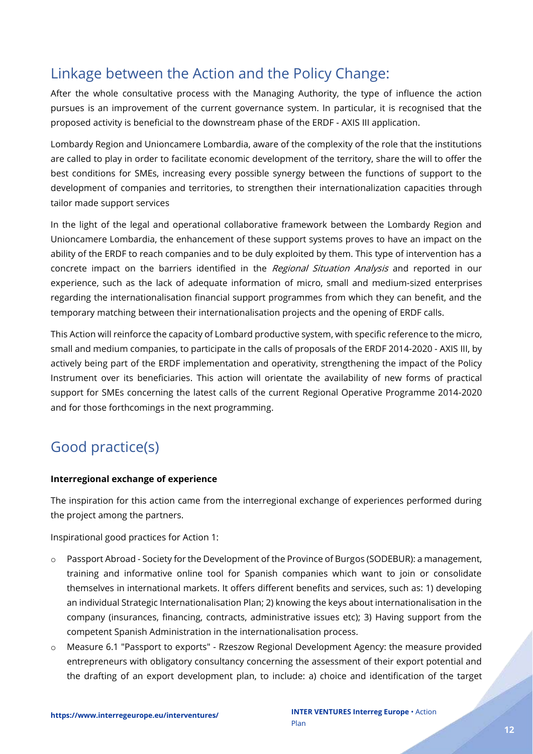# <span id="page-11-0"></span>Linkage between the Action and the Policy Change:

After the whole consultative process with the Managing Authority, the type of influence the action pursues is an improvement of the current governance system. In particular, it is recognised that the proposed activity is beneficial to the downstream phase of the ERDF - AXIS III application.

Lombardy Region and Unioncamere Lombardia, aware of the complexity of the role that the institutions are called to play in order to facilitate economic development of the territory, share the will to offer the best conditions for SMEs, increasing every possible synergy between the functions of support to the development of companies and territories, to strengthen their internationalization capacities through tailor made support services

In the light of the legal and operational collaborative framework between the Lombardy Region and Unioncamere Lombardia, the enhancement of these support systems proves to have an impact on the ability of the ERDF to reach companies and to be duly exploited by them. This type of intervention has a concrete impact on the barriers identified in the Regional Situation Analysis and reported in our experience, such as the lack of adequate information of micro, small and medium-sized enterprises regarding the internationalisation financial support programmes from which they can benefit, and the temporary matching between their internationalisation projects and the opening of ERDF calls.

This Action will reinforce the capacity of Lombard productive system, with specific reference to the micro, small and medium companies, to participate in the calls of proposals of the ERDF 2014-2020 - AXIS III, by actively being part of the ERDF implementation and operativity, strengthening the impact of the Policy Instrument over its beneficiaries. This action will orientate the availability of new forms of practical support for SMEs concerning the latest calls of the current Regional Operative Programme 2014-2020 and for those forthcomings in the next programming.

# <span id="page-11-1"></span>Good practice(s)

#### **Interregional exchange of experience**

The inspiration for this action came from the interregional exchange of experiences performed during the project among the partners.

Inspirational good practices for Action 1:

- o Passport Abroad Society for the Development of the Province of Burgos (SODEBUR): a management, training and informative online tool for Spanish companies which want to join or consolidate themselves in international markets. It offers different benefits and services, such as: 1) developing an individual Strategic Internationalisation Plan; 2) knowing the keys about internationalisation in the company (insurances, financing, contracts, administrative issues etc); 3) Having support from the competent Spanish Administration in the internationalisation process.
- o Measure 6.1 "Passport to exports" Rzeszow Regional Development Agency: the measure provided entrepreneurs with obligatory consultancy concerning the assessment of their export potential and the drafting of an export development plan, to include: a) choice and identification of the target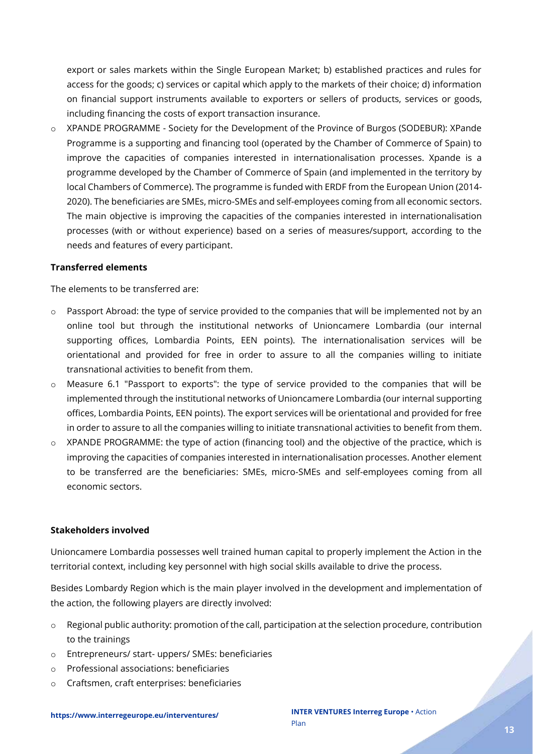export or sales markets within the Single European Market; b) established practices and rules for access for the goods; c) services or capital which apply to the markets of their choice; d) information on financial support instruments available to exporters or sellers of products, services or goods, including financing the costs of export transaction insurance.

o XPANDE PROGRAMME - Society for the Development of the Province of Burgos (SODEBUR): XPande Programme is a supporting and financing tool (operated by the Chamber of Commerce of Spain) to improve the capacities of companies interested in internationalisation processes. Xpande is a programme developed by the Chamber of Commerce of Spain (and implemented in the territory by local Chambers of Commerce). The programme is funded with ERDF from the European Union (2014- 2020). The beneficiaries are SMEs, micro-SMEs and self-employees coming from all economic sectors. The main objective is improving the capacities of the companies interested in internationalisation processes (with or without experience) based on a series of measures/support, according to the needs and features of every participant.

#### **Transferred elements**

The elements to be transferred are:

- $\circ$  Passport Abroad: the type of service provided to the companies that will be implemented not by an online tool but through the institutional networks of Unioncamere Lombardia (our internal supporting offices, Lombardia Points, EEN points). The internationalisation services will be orientational and provided for free in order to assure to all the companies willing to initiate transnational activities to benefit from them.
- $\circ$  Measure 6.1 "Passport to exports": the type of service provided to the companies that will be implemented through the institutional networks of Unioncamere Lombardia (our internal supporting offices, Lombardia Points, EEN points). The export services will be orientational and provided for free in order to assure to all the companies willing to initiate transnational activities to benefit from them.
- $\circ$  XPANDE PROGRAMME: the type of action (financing tool) and the objective of the practice, which is improving the capacities of companies interested in internationalisation processes. Another element to be transferred are the beneficiaries: SMEs, micro-SMEs and self-employees coming from all economic sectors.

#### **Stakeholders involved**

Unioncamere Lombardia possesses well trained human capital to properly implement the Action in the territorial context, including key personnel with high social skills available to drive the process.

Besides Lombardy Region which is the main player involved in the development and implementation of the action, the following players are directly involved:

- $\circ$  Regional public authority: promotion of the call, participation at the selection procedure, contribution to the trainings
- o Entrepreneurs/ start- uppers/ SMEs: beneficiaries
- o Professional associations: beneficiaries
- o Craftsmen, craft enterprises: beneficiaries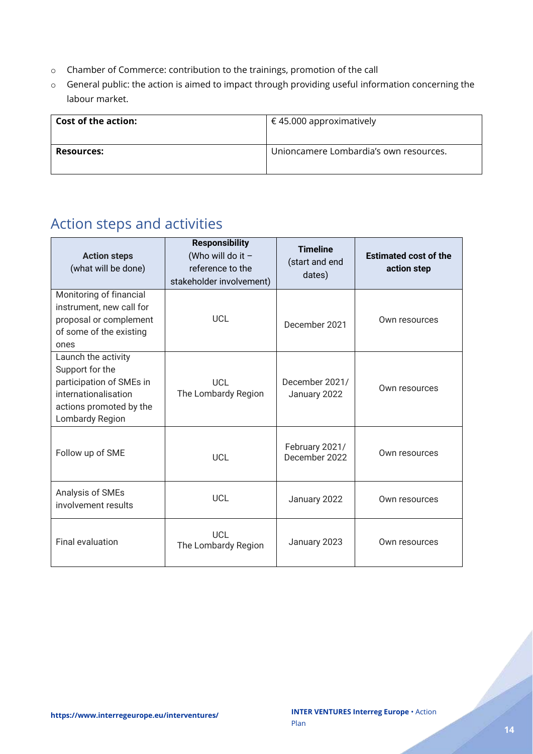- o Chamber of Commerce: contribution to the trainings, promotion of the call
- o General public: the action is aimed to impact through providing useful information concerning the labour market.

| <b>Cost of the action:</b> | € 45.000 approximatively               |  |
|----------------------------|----------------------------------------|--|
| <b>Resources:</b>          | Unioncamere Lombardia's own resources. |  |

# <span id="page-13-0"></span>Action steps and activities

| <b>Action steps</b><br>(what will be done)                                                                                               | <b>Responsibility</b><br>(Who will do it $-$<br>reference to the<br>stakeholder involvement) | <b>Timeline</b><br>(start and end<br>dates) | <b>Estimated cost of the</b><br>action step |
|------------------------------------------------------------------------------------------------------------------------------------------|----------------------------------------------------------------------------------------------|---------------------------------------------|---------------------------------------------|
| Monitoring of financial<br>instrument, new call for<br>proposal or complement<br>of some of the existing<br>ones                         | <b>UCL</b>                                                                                   | December 2021                               | Own resources                               |
| Launch the activity<br>Support for the<br>participation of SMEs in<br>internationalisation<br>actions promoted by the<br>Lombardy Region | UCL<br>The Lombardy Region                                                                   | December 2021/<br>January 2022              | Own resources                               |
| Follow up of SME                                                                                                                         | <b>UCL</b>                                                                                   | February 2021/<br>December 2022             | Own resources                               |
| Analysis of SMEs<br>involvement results                                                                                                  | UCL                                                                                          | January 2022                                | Own resources                               |
| <b>Final evaluation</b>                                                                                                                  | UCL<br>The Lombardy Region                                                                   | January 2023                                | Own resources                               |